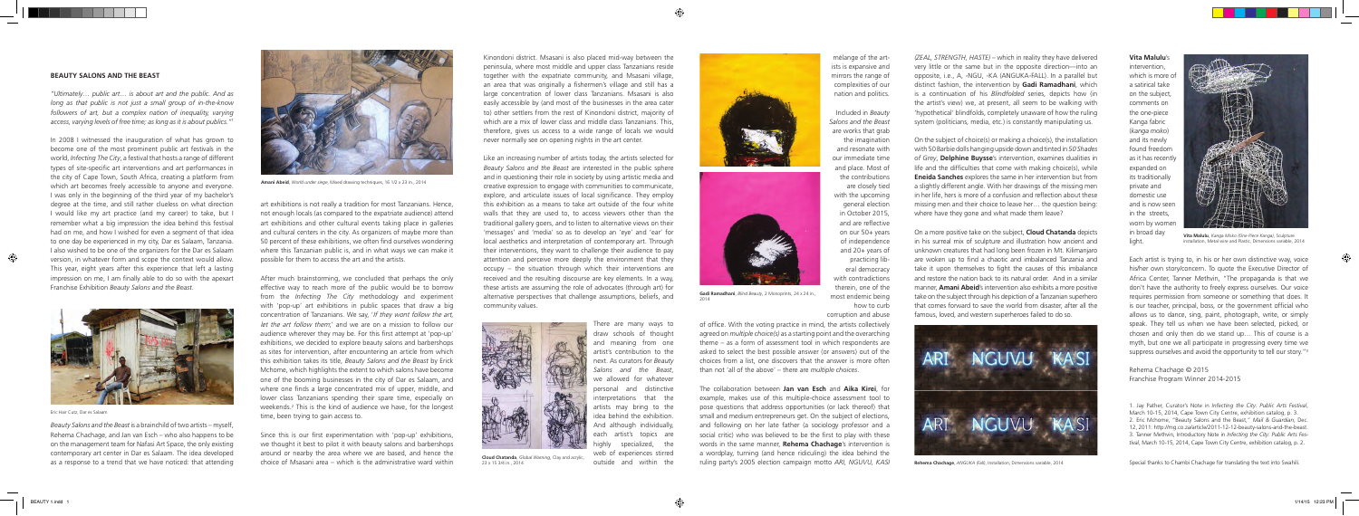art exhibitions is not really a tradition for most Tanzanians. Hence, not enough locals (as compared to the expatriate audience) attend art exhibitions and other cultural events taking place in galleries and cultural centers in the city. As organizers of maybe more than 50 percent of these exhibitions, we often find ourselves wondering where this Tanzanian public is, and in what ways we can make it possible for them to access the art and the artists.

Since this is our first experimentation with 'pop-up' exhibitions, we thought it best to pilot it with beauty salons and barbershops around or nearby the area where we are based, and hence the choice of Msasani area – which is the administrative ward within as a response to a trend that we have noticed: that attending choice of Msasani area - which is the administrative ward within 23 x 15 3/4 in., 2014 and within the ruling party's 2005 election campaign motto *ARI, NGUVU, K* 

After much brainstorming, we concluded that perhaps the only effective way to reach more of the public would be to borrow from the *Infecting The City* methodology and experiment with 'pop-up' art exhibitions in public spaces that draw a big concentration of Tanzanians. We say, 'If they wont follow the art, let the art follow them;' and we are on a mission to follow our audience wherever they may be. For this first attempt at 'pop-up' exhibitions, we decided to explore beauty salons and barbershops as sites for intervention, after encountering an article from which this exhibition takes its title, *Beauty Salons and the Beast* by Erick Mchome, which highlights the extent to which salons have become one of the booming businesses in the city of Dar es Salaam, and where one finds a large concentrated mix of upper, middle, and lower class Tanzanians spending their spare time, especially on weekends.<sup>2</sup> This is the kind of audience we have, for the longest time, been trying to gain access to.

Kinondoni district. Msasani is also placed mid-way between the peninsula, where most middle and upper class Tanzanians reside together with the expatriate community, and Msasani village, an area that was originally a fishermen's village and still has a large concentration of lower class Tanzanians. Msasani is also easily accessible by (and most of the businesses in the area cater to) other settlers from the rest of Kinondoni district, majority of which are a mix of lower class and middle class Tanzanians. This therefore, gives us access to a wide range of locals we would never normally see on opening nights in the art center.

Like an increasing number of artists today, the artists selected for *Beauty Salons and the Beast* are interested in the public sphere and in questioning their role in society by using artistic media and creative expression to engage with communities to communicate, explore, and articulate issues of local significance. They employ this exhibition as a means to take art outside of the four white walls that they are used to, to access viewers other than the traditional gallery goers, and to listen to alternative views on their 'messages' and 'media' so as to develop an 'eye' and 'ear' for local aesthetics and interpretation of contemporary art. Through their interventions, they want to challenge their audience to pay attention and perceive more deeply the environment that they occupy – the situation through which their interventions are received and the resulting discourse are key elements. In a way, these artists are assuming the role of advocates (through art) for alternative perspectives that challenge assumptions, beliefs, and community values.

> There are many ways to draw schools of thought and meaning from one artist's contribution to the next. As curators for *Beauty Salons and the Beast*, we allowed for whatever personal and distinctive interpretations that the artists may bring to the idea behind the exhibition. And although individually, each artist's topics are highly specialized, the web of experiences stirred outside and within the

mélange of the artists is expansive and mirrors the range of complexities of our nation and politics.

Included in *Beauty Salons and the Beast* are works that grab the imagination and resonate with our immediate time and place. Most of the contributions are closely tied with the upcoming general election in October 2015, and are reflective on our 50+ years of independence and 20+ years of practicing liberal democracy with contradictions therein, one of the most endemic being how to curb

corruption and abuse

of office. With the voting practice in mind, the artists collectively agreed on *multiple choice(s)* as a starting point and the overarching theme – as a form of assessment tool in which respondents are asked to select the best possible answer (or answers) out of the choices from a list, one discovers that the answer is more often than not 'all of the above' – there are *multiple choices*.

The collaboration between **Jan van Esch** and **Aika Kirei**, for example, makes use of this multiple-choice assessment tool to pose questions that address opportunities (or lack thereof) that small and medium entrepreneurs get. On the subject of elections, and following on her late father (a sociology professor and a social critic) who was believed to be the first to play with these words in the same manner, **Rehema Chachage**'s intervention is a wordplay, turning (and hence ridiculing) the idea behind the

*(ZEAL, STRENGTH, HASTE)* – which in reality they have delivered very little or the same but in the opposite direction—into an opposite, i.e., A, -NGU, -KA (ANGUKA-FALL). In a parallel but distinct fashion, the intervention by **Gadi Ramadhani**, which is a continuation of his *Blindfolded* series, depicts how (in the artist's view) we, at present, all seem to be walking with 'hypothetical' blindfolds, completely unaware of how the ruling system (politicians, media, etc.) is constantly manipulating us.

On the subject of choice(s) or making a choice(s), the installation with 50 Barbie dolls hanging upside down and tinted in *50 Shades of Grey*, **Delphine Buysse**'s intervention, examines dualities in life and the difficulties that come with making choice(s), while **Eneida Sanches** explores the same in her intervention but from a slightly different angle. With her drawings of the missing men in her life, hers is more of a confusion and reflection about these missing men and their choice to leave her… the question being: where have they gone and what made them leave?

On a more positive take on the subject, **Cloud Chatanda** depicts in his surreal mix of sculpture and illustration how ancient and unknown creatures that had long been frozen in Mt. Kilimanjaro are woken up to find a chaotic and imbalanced Tanzania and take it upon themselves to fight the causes of this imbalance and restore the nation back to its natural order. And in a similar manner, **Amani Abeid**'s intervention also exhibits a more positive take on the subject through his depiction of a Tanzanian superhero that comes forward to save the world from disaster, after all the famous, loved, and western superheroes failed to do so.



### **Vita Malulu**'s

intervention, which is more of a satirical take on the subject, comments on the one-piece Kanga fabric (*kanga moko*) and its newly found freedom as it has recently expanded on its traditionally private and domestic use and is now seen in the streets, worn by women in broad day light.

Each artist is trying to, in his or her own distinctive way, voice his/her own story/concern. To quote the Executive Director of Africa Center, Tanner Methvin, "The propaganda is that we don't have the authority to freely express ourselves. Our voice requires permission from someone or something that does. It is our teacher, principal, boss, or the government official who allows us to dance, sing, paint, photograph, write, or simply speak. They tell us when we have been selected, picked, or chosen and only then do we stand up… This of course is a myth, but one we all participate in progressing every time we suppress ourselves and avoid the opportunity to tell our story."3

Rehema Chachage © 2015 Franchise Program Winner 2014-2015

1. Jay Pather, Curator's Note in *Infecting the City: Public Arts Festival*, March 10-15, 2014, Cape Town City Centre, exhibition catalog, p. 3. 2. Eric Mchome, "Beauty Salons and the Beast," *Mail & Guardian*, Dec. 12, 2011: http://mg.co.za/article/2011-12-12-beauty-salons-and-the-beast. 3. Tanner Methvin, Introductory Note in *Infecting the City: Public Arts Festival*, March 10-15, 2014, Cape Town City Centre, exhibition catalog, p. 2.

Special thanks to Chambi Chachage for translating the text into Swahili.

### **BEAUTY SALONS AND THE BEAST**

*"Ultimately… public art… is about art and the public. And as long as that public is not just a small group of in-the-know followers of art, but a complex nation of inequality, varying access, varying levels of free time; as long as it is about publics."1*

In 2008 I witnessed the inauguration of what has grown to become one of the most prominent public art festivals in the world, *Infecting The City*, a festival that hosts a range of different types of site-specific art interventions and art performances in the city of Cape Town, South Africa, creating a platform from which art becomes freely accessible to anyone and everyone. I was only in the beginning of the third year of my bachelor's degree at the time, and still rather clueless on what direction I would like my art practice (and my career) to take, but I remember what a big impression the idea behind this festival had on me, and how I wished for even a segment of that idea to one day be experienced in my city, Dar es Salaam, Tanzania. I also wished to be one of the organizers for the Dar es Salaam version, in whatever form and scope the context would allow. This year, eight years after this experience that left a lasting impression on me, I am finally able to do so with the apexart Franchise Exhibition *Beauty Salons and the Beast*.



*Beauty Salons and the Beast* is a brainchild of two artists – myself, Rehema Chachage, and Jan van Esch – who also happens to be on the management team for Nafasi Art Space, the only existing contemporary art center in Dar es Salaam. The idea developed



**Cloud Chatanda**, *Global Warning*, Clay and acrylic, 23 x 15 3/4 in., 2014



**Vita Malulu**, *Kanga Moko (One Piece Kanga)*, Sculpture installation, Metal wire and Plastic, Dimensions variable, 2014



**Gadi Ramadhani**, *Blind Beauty*, 2 Monoprints, 24 x 24 in.,

2014





**Amani Abeid**, *World under siege*, Mixed drawing techniques, 16 1/2 x 23 in., 2014

Eric Hair Cutz, Dar es Salaam